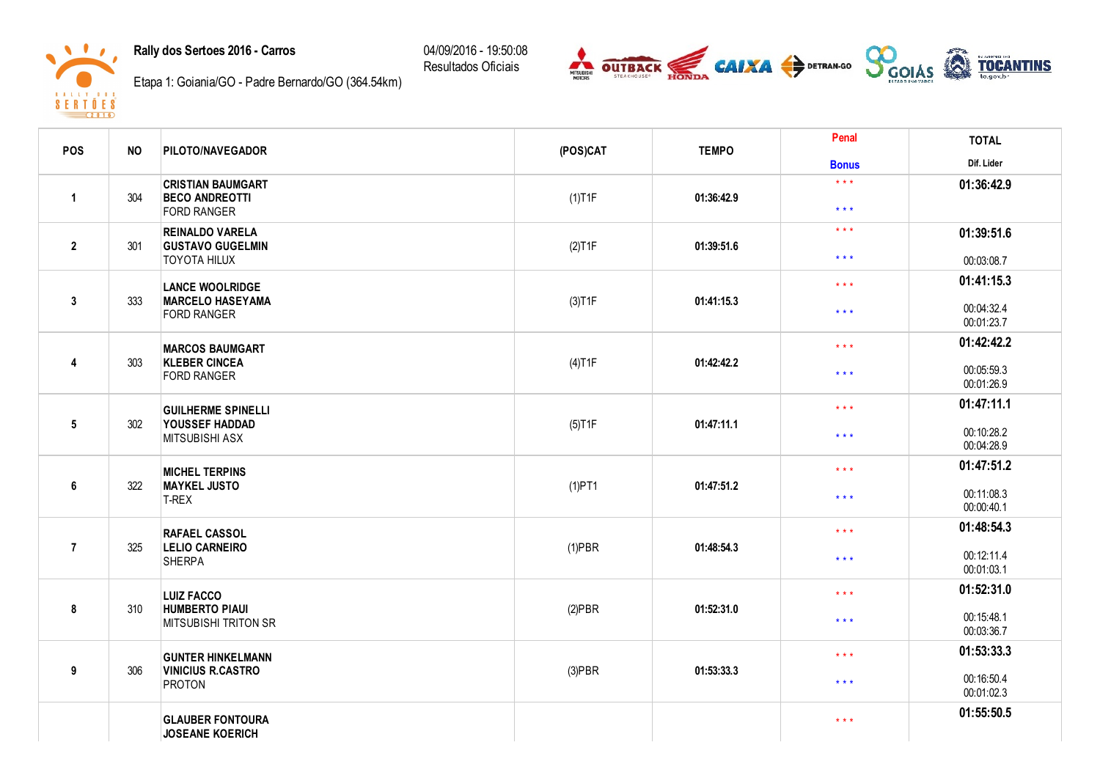Rally dos Sertoes 2016 - Carros

 $\sqrt{1-x}$ 

 $\mathbf{R} = \mathbf{A} - \mathbf{I} - \mathbf{I} - \mathbf{Y} = \begin{bmatrix} \mathbf{B} & \mathbf{B} & \mathbf{S} \end{bmatrix}$  $8 F R T 0 F 8$  04/09/2016 - 19:50:08 Resultados Oficiais



Etapa 1: Goiania/GO - Padre Bernardo/GO (364.54km)

| POS             | <b>NO</b> | <b>PILOTO/NAVEGADOR</b>                                                  | (POS)CAT  |            | Penal<br><b>TEMPO</b>            | <b>TOTAL</b>             |
|-----------------|-----------|--------------------------------------------------------------------------|-----------|------------|----------------------------------|--------------------------|
|                 |           |                                                                          |           |            | <b>Bonus</b>                     | Dif. Lider               |
| $\mathbf{1}$    | 304       | <b>CRISTIAN BAUMGART</b><br><b>BECO ANDREOTTI</b>                        | $(1)$ T1F | 01:36:42.9 | $* * *$                          | 01:36:42.9               |
|                 |           | <b>FORD RANGER</b>                                                       |           |            | $\star$ $\star$ $\star$          |                          |
| $\overline{2}$  | 301       | <b>REINALDO VARELA</b><br><b>GUSTAVO GUGELMIN</b><br><b>TOYOTA HILUX</b> | (2)T1F    | 01:39:51.6 | $***$<br>$\star$ $\star$ $\star$ | 01:39:51.6<br>00:03:08.7 |
|                 |           |                                                                          |           |            |                                  | 01:41:15.3               |
| $\mathbf{3}$    | 333       | <b>LANCE WOOLRIDGE</b><br><b>MARCELO HASEYAMA</b><br><b>FORD RANGER</b>  | (3)T1F    | 01:41:15.3 | $\star$ $\star$ $\star$<br>$***$ | 00:04:32.4<br>00:01:23.7 |
|                 |           |                                                                          |           |            | $***$                            | 01:42:42.2               |
| 4               | 303       | <b>MARCOS BAUMGART</b><br><b>KLEBER CINCEA</b><br><b>FORD RANGER</b>     | $(4)$ T1F | 01:42:42.2 | $***$                            | 00:05:59.3<br>00:01:26.9 |
|                 |           |                                                                          |           |            | $***$                            | 01:47:11.1               |
| $5\phantom{.0}$ | 302       | <b>GUILHERME SPINELLI</b><br>YOUSSEF HADDAD<br>MITSUBISHI ASX            | $(5)$ T1F | 01:47:11.1 | $\star\star\star$                | 00:10:28.2<br>00:04:28.9 |
|                 |           |                                                                          |           |            | $***$                            | 01:47:51.2               |
| 6               | 322       | <b>MICHEL TERPINS</b><br><b>MAYKEL JUSTO</b><br>T-REX                    | $(1)$ PT1 | 01:47:51.2 | $* * *$                          | 00:11:08.3<br>00:00:40.1 |
|                 |           |                                                                          |           |            | $\star \star \star$              | 01:48:54.3               |
| $\overline{7}$  | 325       | <b>RAFAEL CASSOL</b><br><b>LELIO CARNEIRO</b><br><b>SHERPA</b>           | $(1)$ PBR | 01:48:54.3 | $\star$ $\star$ $\star$          | 00:12:11.4<br>00:01:03.1 |
|                 |           | <b>LUIZ FACCO</b>                                                        |           | $***$      | 01:52:31.0                       |                          |
| 8               | 310       | <b>HUMBERTO PIAUI</b><br><b>MITSUBISHI TRITON SR</b>                     | $(2)$ PBR | 01:52:31.0 | $\star\star\star$                | 00:15:48.1<br>00:03:36.7 |
|                 |           | <b>GUNTER HINKELMANN</b>                                                 |           |            | $\star\star\star$                | 01:53:33.3               |
| 9               | 306       | <b>VINICIUS R.CASTRO</b><br>PROTON                                       | $(3)$ PBR | 01:53:33.3 | $***$                            | 00:16:50.4<br>00:01:02.3 |
|                 |           | <b>GLAUBER FONTOURA</b><br><b>JOSEANE KOERICH</b>                        |           |            | $\star\star\star$                | 01:55:50.5               |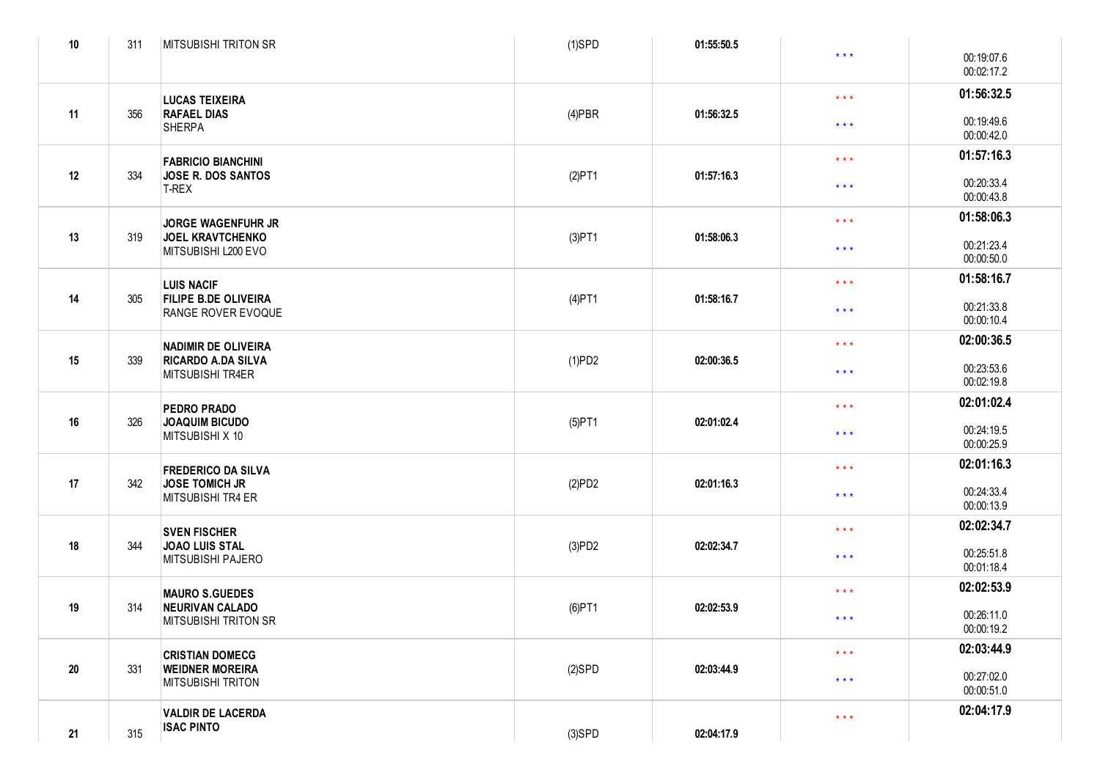| 10 | 311 | <b>MITSUBISHI TRITON SR</b>                                                    | $(1)$ SPD | 01:55:50.5            |                         |                          |
|----|-----|--------------------------------------------------------------------------------|-----------|-----------------------|-------------------------|--------------------------|
|    |     |                                                                                |           |                       | $\star$ $\star$ $\star$ | 00:19:07.6<br>00:02:17.2 |
|    |     | <b>LUCAS TEIXEIRA</b>                                                          |           |                       | $\star$ $\star$ $\star$ | 01:56:32.5               |
| 11 | 356 | <b>RAFAEL DIAS</b><br><b>SHERPA</b>                                            | $(4)$ PBR | 01:56:32.5            | $\star$ $\star$ $\star$ | 00:19:49.6<br>00:00:42.0 |
|    |     | <b>FABRICIO BIANCHINI</b>                                                      |           |                       | $\star$ $\star$ $\star$ | 01:57:16.3               |
| 12 | 334 | JOSE R. DOS SANTOS<br>T-REX                                                    | (2)PT1    | 01:57:16.3            | $\star$ $\star$ $\star$ | 00:20:33.4<br>00:00:43.8 |
|    |     | <b>JORGE WAGENFUHR JR</b>                                                      |           |                       | $\star$ $\star$ $\star$ | 01:58:06.3               |
| 13 | 319 | <b>JOEL KRAVTCHENKO</b><br>MITSUBISHI L200 EVO                                 | (3)PT1    | 01:58:06.3            | $\star$ $\star$ $\star$ | 00:21:23.4<br>00:00:50.0 |
|    |     | <b>LUIS NACIF</b>                                                              |           |                       | $\star$ $\star$ $\star$ | 01:58:16.7               |
| 14 | 305 | <b>FILIPE B.DE OLIVEIRA</b><br>RANGE ROVER EVOQUE                              | $(4)$ PT1 | 01:58:16.7            | $\star$ $\star$ $\star$ | 00:21:33.8<br>00:00:10.4 |
| 15 | 339 | <b>NADIMIR DE OLIVEIRA</b><br><b>RICARDO A.DA SILVA</b><br>MITSUBISHI TR4ER    |           |                       | $\star$ $\star$ $\star$ | 02:00:36.5               |
|    |     |                                                                                | (1)PD2    | 02:00:36.5            | $\star$ $\star$ $\star$ | 00:23:53.6<br>00:02:19.8 |
|    |     | PEDRO PRADO                                                                    |           |                       | $\star$ $\star$ $\star$ | 02:01:02.4               |
| 16 | 326 | <b>JOAQUIM BICUDO</b><br>MITSUBISHI X 10                                       | $(5)$ PT1 | 02:01:02.4            | $\star$ $\star$ $\star$ | 00:24:19.5<br>00:00:25.9 |
|    |     | <b>FREDERICO DA SILVA</b>                                                      |           |                       | $\star$ $\star$ $\star$ | 02:01:16.3               |
| 17 | 342 | <b>JOSE TOMICH JR</b><br>MITSUBISHI TR4 ER                                     | (2)PD2    | 02:01:16.3            | $\star$ $\star$ $\star$ | 00:24:33.4<br>00:00:13.9 |
| 18 | 344 | <b>SVEN FISCHER</b><br><b>JOAO LUIS STAL</b><br>MITSUBISHI PAJERO              |           |                       | $\star$ $\star$ $\star$ | 02:02:34.7               |
|    |     |                                                                                | (3)PD2    | 02:02:34.7            | $\star$ $\star$ $\star$ | 00:25:51.8<br>00:01:18.4 |
| 19 | 314 | <b>MAURO S.GUEDES</b><br><b>NEURIVAN CALADO</b><br><b>MITSUBISHI TRITON SR</b> |           |                       | $\star$ $\star$ $\star$ | 02:02:53.9               |
|    |     |                                                                                | $(6)$ PT1 | 02:02:53.9<br>$* * *$ |                         | 00:26:11.0<br>00:00:19.2 |
|    |     | <b>CRISTIAN DOMECG</b>                                                         |           |                       | $\star$ $\star$ $\star$ | 02:03:44.9               |
| 20 | 331 | <b>WEIDNER MOREIRA</b><br>MITSUBISHI TRITON                                    | $(2)$ SPD | 02:03:44.9            | $\star$ $\star$ $\star$ | 00:27:02.0<br>00:00:51.0 |
|    |     | <b>VALDIR DE LACERDA</b><br><b>ISAC PINTO</b>                                  |           |                       | $\star$ $\star$ $\star$ | 02:04:17.9               |
| 21 | 315 |                                                                                | $(3)$ SPD | 02:04:17.9            |                         |                          |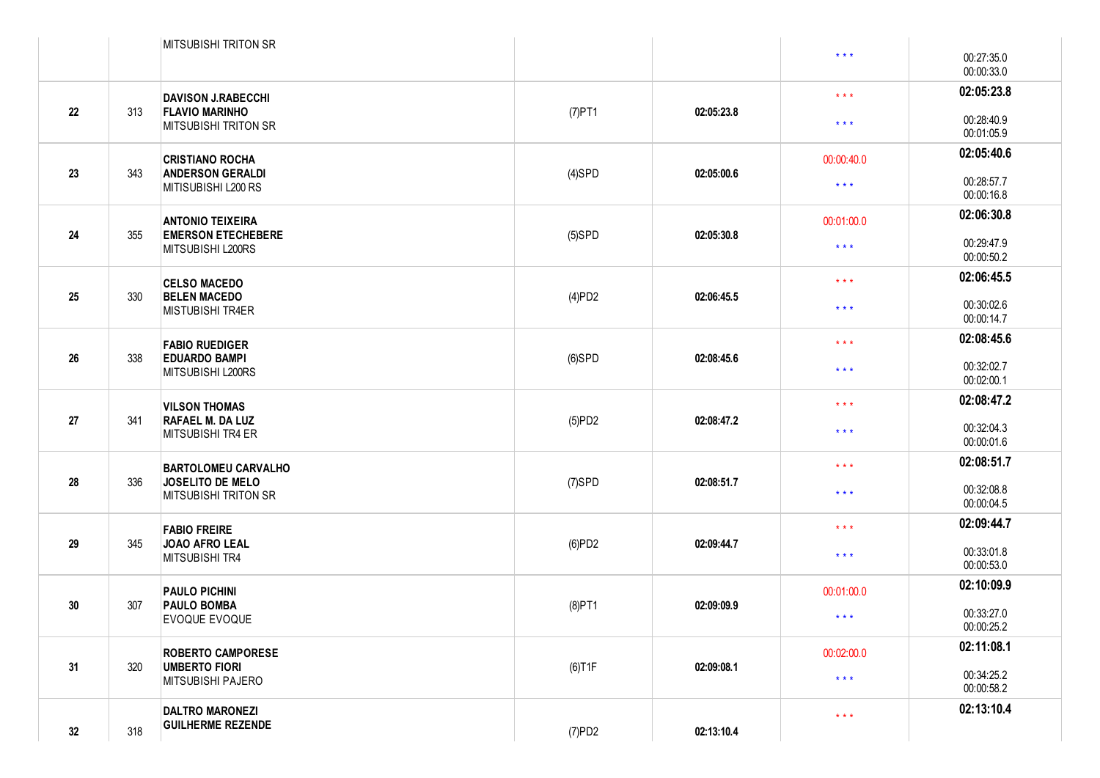|    |     | <b>MITSUBISHI TRITON SR</b>                                                              |                         |                                                                  |                          |                          |
|----|-----|------------------------------------------------------------------------------------------|-------------------------|------------------------------------------------------------------|--------------------------|--------------------------|
|    |     |                                                                                          |                         |                                                                  | $\star\star\star$        | 00:27:35.0<br>00:00:33.0 |
| 22 |     | <b>DAVISON J.RABECCHI</b><br><b>FLAVIO MARINHO</b><br>313<br><b>MITSUBISHI TRITON SR</b> |                         | 02:05:23.8                                                       | $\star$ $\star$ $\star$  | 02:05:23.8               |
|    |     |                                                                                          | $(7)$ PT1               |                                                                  | $\star$ $\star$ $\star$  | 00:28:40.9<br>00:01:05.9 |
|    |     | <b>CRISTIANO ROCHA</b>                                                                   | $(4)$ SPD<br>02:05:00.6 | 00:00:40.0                                                       | 02:05:40.6               |                          |
| 23 | 343 | <b>ANDERSON GERALDI</b><br>MITISUBISHI L200 RS                                           |                         |                                                                  | $\star\star\star$        | 00:28:57.7<br>00:00:16.8 |
|    |     | <b>ANTONIO TEIXEIRA</b>                                                                  |                         | 02:05:30.8                                                       | 00:01:00.0               | 02:06:30.8               |
| 24 | 355 | <b>EMERSON ETECHEBERE</b><br>MITSUBISHI L200RS                                           | $(5)$ SPD               |                                                                  | $\star\star\star$        | 00:29:47.9<br>00:00:50.2 |
|    |     | <b>CELSO MACEDO</b>                                                                      |                         |                                                                  | $\star$ $\star$ $\star$  | 02:06:45.5               |
| 25 | 330 | <b>BELEN MACEDO</b><br><b>MISTUBISHI TR4ER</b>                                           | (4)PD2                  | 02:06:45.5                                                       | $\star$ $\star$ $\star$  | 00:30:02.6<br>00:00:14.7 |
| 26 |     | <b>FABIO RUEDIGER</b><br><b>EDUARDO BAMPI</b><br>MITSUBISHI L200RS                       |                         |                                                                  | $\star$ $\star$ $\star$  | 02:08:45.6               |
|    | 338 |                                                                                          | $(6)$ SPD               | 02:08:45.6                                                       | $\star\star\star$        | 00:32:02.7<br>00:02:00.1 |
|    | 341 | <b>VILSON THOMAS</b><br><b>RAFAEL M. DA LUZ</b><br>MITSUBISHI TR4 ER                     |                         |                                                                  | $\star$ $\star$ $\star$  | 02:08:47.2               |
| 27 |     |                                                                                          | (5)PD2                  | 02:08:47.2<br>$\star\star\star$                                  | 00:32:04.3<br>00:00:01.6 |                          |
|    |     | <b>BARTOLOMEU CARVALHO</b>                                                               |                         | 02:08:51.7                                                       | $\star$ $\star$ $\star$  | 02:08:51.7               |
| 28 | 336 | JOSELITO DE MELO<br><b>MITSUBISHI TRITON SR</b>                                          | $(7)$ SPD               |                                                                  | $***$                    | 00:32:08.8<br>00:00:04.5 |
| 29 | 345 | <b>FABIO FREIRE</b><br><b>JOAO AFRO LEAL</b><br>MITSUBISHI TR4                           |                         |                                                                  | $\star$ $\star$ $\star$  | 02:09:44.7               |
|    |     |                                                                                          | (6)PD2                  | 02:09:44.7<br>$\star$ $\star$ $\star$                            |                          | 00:33:01.8<br>00:00:53.0 |
|    | 307 | <b>PAULO PICHINI</b><br><b>PAULO BOMBA</b><br>EVOQUE EVOQUE                              |                         |                                                                  | 00:01:00.0               | 02:10:09.9               |
| 30 |     |                                                                                          | $(8)$ PT1               | 02:09:09.9                                                       | $\star$ $\star$ $\star$  | 00:33:27.0<br>00:00:25.2 |
| 31 | 320 | <b>ROBERTO CAMPORESE</b><br><b>UMBERTO FIORI</b><br>MITSUBISHI PAJERO                    |                         | 00:02:00.0<br>$(6)$ T1F<br>02:09:08.1<br>$\star$ $\star$ $\star$ | 02:11:08.1               |                          |
|    |     |                                                                                          |                         |                                                                  |                          | 00:34:25.2<br>00:00:58.2 |
| 32 | 318 | <b>DALTRO MARONEZI</b><br><b>GUILHERME REZENDE</b>                                       | (7)PD2                  | 02:13:10.4                                                       | $\star$ $\star$ $\star$  | 02:13:10.4               |